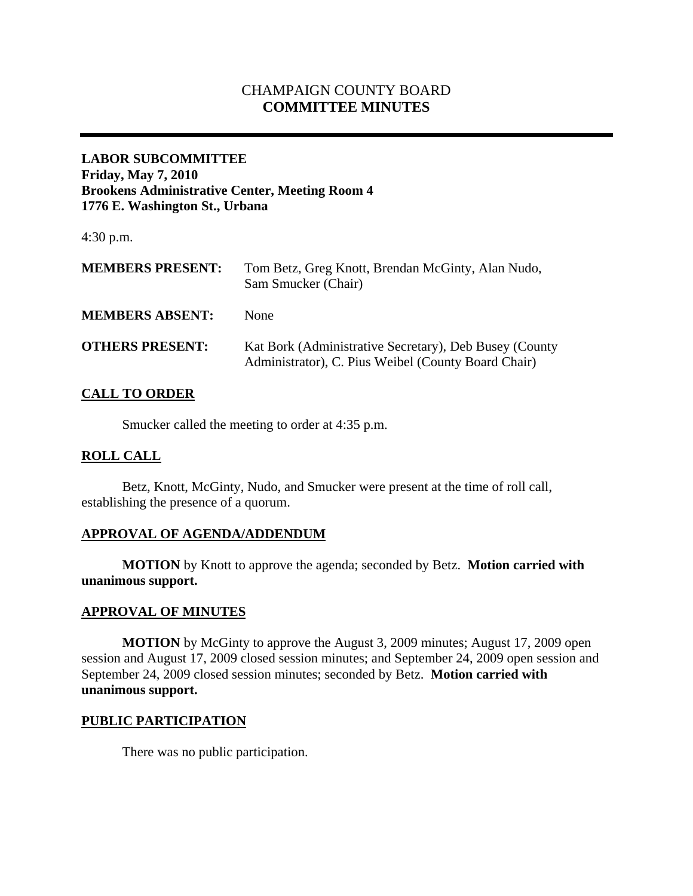# CHAMPAIGN COUNTY BOARD **COMMITTEE MINUTES**

## **LABOR SUBCOMMITTEE Friday, May 7, 2010 Brookens Administrative Center, Meeting Room 4 1776 E. Washington St., Urbana**

4:30 p.m.

| <b>MEMBERS PRESENT:</b> | Tom Betz, Greg Knott, Brendan McGinty, Alan Nudo,<br>Sam Smucker (Chair)                                      |
|-------------------------|---------------------------------------------------------------------------------------------------------------|
| <b>MEMBERS ABSENT:</b>  | None                                                                                                          |
| <b>OTHERS PRESENT:</b>  | Kat Bork (Administrative Secretary), Deb Busey (County<br>Administrator), C. Pius Weibel (County Board Chair) |

## **CALL TO ORDER**

Smucker called the meeting to order at 4:35 p.m.

#### **ROLL CALL**

 Betz, Knott, McGinty, Nudo, and Smucker were present at the time of roll call, establishing the presence of a quorum.

#### **APPROVAL OF AGENDA/ADDENDUM**

 **MOTION** by Knott to approve the agenda; seconded by Betz. **Motion carried with unanimous support.** 

#### **APPROVAL OF MINUTES**

**MOTION** by McGinty to approve the August 3, 2009 minutes; August 17, 2009 open session and August 17, 2009 closed session minutes; and September 24, 2009 open session and September 24, 2009 closed session minutes; seconded by Betz. **Motion carried with unanimous support.** 

#### **PUBLIC PARTICIPATION**

There was no public participation.